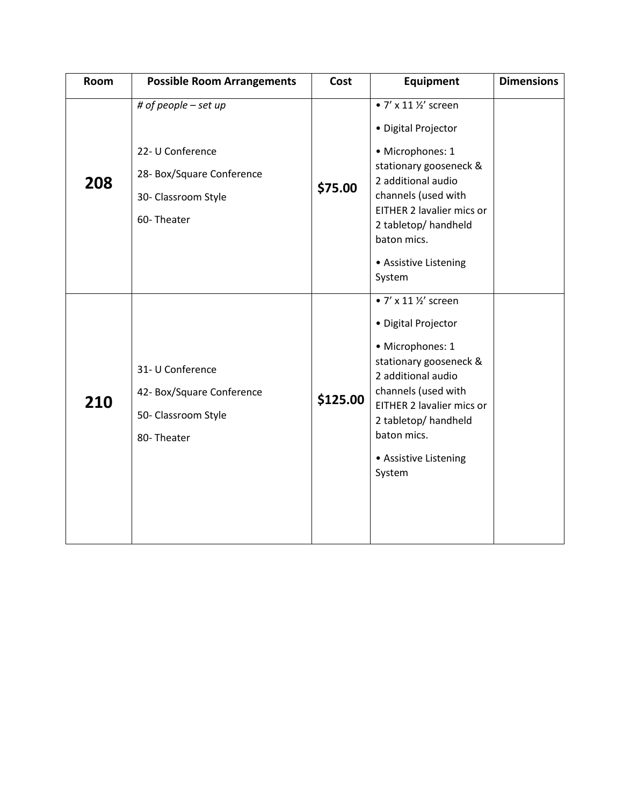| Room | <b>Possible Room Arrangements</b>                                                                          | Cost     | Equipment                                                                                                                                                                                                                                      | <b>Dimensions</b> |
|------|------------------------------------------------------------------------------------------------------------|----------|------------------------------------------------------------------------------------------------------------------------------------------------------------------------------------------------------------------------------------------------|-------------------|
| 208  | # of people - set up<br>22- U Conference<br>28- Box/Square Conference<br>30- Classroom Style<br>60-Theater | \$75.00  | • 7' x 11 1/2' screen<br>· Digital Projector<br>· Microphones: 1<br>stationary gooseneck &<br>2 additional audio<br>channels (used with<br>EITHER 2 lavalier mics or<br>2 tabletop/ handheld<br>baton mics.<br>• Assistive Listening<br>System |                   |
| 210  | 31- U Conference<br>42- Box/Square Conference<br>50- Classroom Style<br>80-Theater                         | \$125.00 | • 7' x 11 1/2' screen<br>· Digital Projector<br>· Microphones: 1<br>stationary gooseneck &<br>2 additional audio<br>channels (used with<br>EITHER 2 lavalier mics or<br>2 tabletop/ handheld<br>baton mics.<br>• Assistive Listening<br>System |                   |